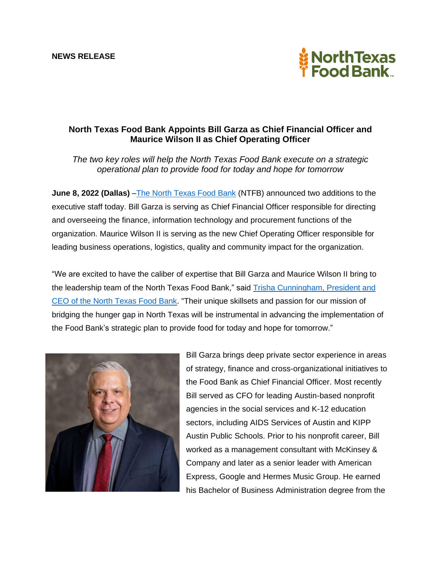

## **North Texas Food Bank Appoints Bill Garza as Chief Financial Officer and Maurice Wilson II as Chief Operating Officer**

*The two key roles will help the North Texas Food Bank execute on a strategic operational plan to provide food for today and hope for tomorrow*

**June 8, 2022 (Dallas)** [–The North Texas Food Bank](https://ntfb.org/) (NTFB) announced two additions to the executive staff today. Bill Garza is serving as Chief Financial Officer responsible for directing and overseeing the finance, information technology and procurement functions of the organization. Maurice Wilson II is serving as the new Chief Operating Officer responsible for leading business operations, logistics, quality and community impact for the organization.

"We are excited to have the caliber of expertise that Bill Garza and Maurice Wilson II bring to the leadership team of the North Texas Food Bank," said [Trisha Cunningham, President and](https://ntfb.org/about-us/leadership-and-board/)  CEO [of the North Texas Food Bank.](https://ntfb.org/about-us/leadership-and-board/) "Their unique skillsets and passion for our mission of bridging the hunger gap in North Texas will be instrumental in advancing the implementation of the Food Bank's strategic plan to provide food for today and hope for tomorrow."



Bill Garza brings deep private sector experience in areas of strategy, finance and cross-organizational initiatives to the Food Bank as Chief Financial Officer. Most recently Bill served as CFO for leading Austin-based nonprofit agencies in the social services and K-12 education sectors, including AIDS Services of Austin and KIPP Austin Public Schools. Prior to his nonprofit career, Bill worked as a management consultant with McKinsey & Company and later as a senior leader with American Express, Google and Hermes Music Group. He earned his Bachelor of Business Administration degree from the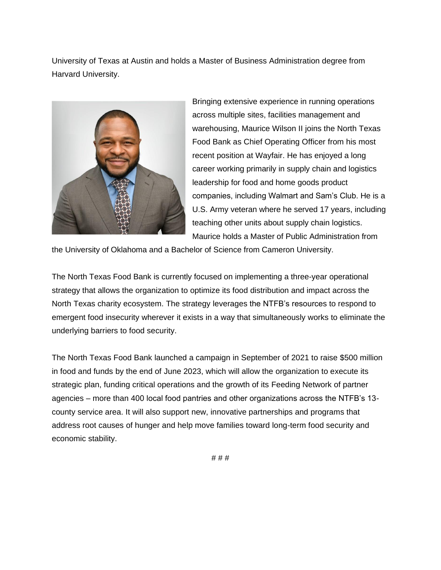University of Texas at Austin and holds a Master of Business Administration degree from Harvard University.



Bringing extensive experience in running operations across multiple sites, facilities management and warehousing, Maurice Wilson II joins the North Texas Food Bank as Chief Operating Officer from his most recent position at Wayfair. He has enjoyed a long career working primarily in supply chain and logistics leadership for food and home goods product companies, including Walmart and Sam's Club. He is a U.S. Army veteran where he served 17 years, including teaching other units about supply chain logistics. Maurice holds a Master of Public Administration from

the University of Oklahoma and a Bachelor of Science from Cameron University.

The North Texas Food Bank is currently focused on implementing a three-year operational strategy that allows the organization to optimize its food distribution and impact across the North Texas charity ecosystem. The strategy leverages the NTFB's resources to respond to emergent food insecurity wherever it exists in a way that simultaneously works to eliminate the underlying barriers to food security.

The North Texas Food Bank launched a campaign in September of 2021 to raise \$500 million in food and funds by the end of June 2023, which will allow the organization to execute its strategic plan, funding critical operations and the growth of its Feeding Network of partner agencies – more than 400 local food pantries and other organizations across the NTFB's 13 county service area. It will also support new, innovative partnerships and programs that address root causes of hunger and help move families toward long-term food security and economic stability.

# # #